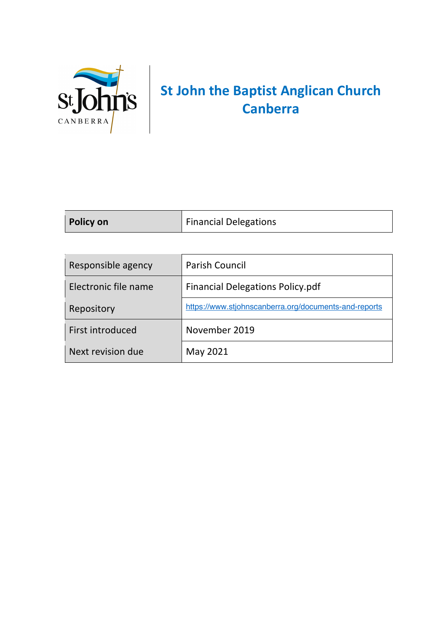

## **St John the Baptist Anglican Church Canberra**

| Policy on | <b>Financial Delegations</b> |
|-----------|------------------------------|
|           |                              |

| Responsible agency   | <b>Parish Council</b>                                 |
|----------------------|-------------------------------------------------------|
| Electronic file name | <b>Financial Delegations Policy.pdf</b>               |
| Repository           | https://www.stjohnscanberra.org/documents-and-reports |
| First introduced     | November 2019                                         |
| Next revision due    | May 2021                                              |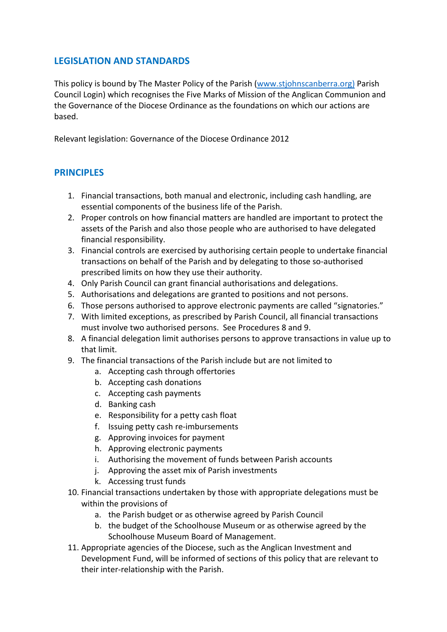## **LEGISLATION AND STANDARDS**

This policy is bound by The Master Policy of the Parish (www.stjohnscanberra.org) Parish Council Login) which recognises the Five Marks of Mission of the Anglican Communion and the Governance of the Diocese Ordinance as the foundations on which our actions are based.

Relevant legislation: Governance of the Diocese Ordinance 2012

## **PRINCIPLES**

- 1. Financial transactions, both manual and electronic, including cash handling, are essential components of the business life of the Parish.
- 2. Proper controls on how financial matters are handled are important to protect the assets of the Parish and also those people who are authorised to have delegated financial responsibility.
- 3. Financial controls are exercised by authorising certain people to undertake financial transactions on behalf of the Parish and by delegating to those so-authorised prescribed limits on how they use their authority.
- 4. Only Parish Council can grant financial authorisations and delegations.
- 5. Authorisations and delegations are granted to positions and not persons.
- 6. Those persons authorised to approve electronic payments are called "signatories."
- 7. With limited exceptions, as prescribed by Parish Council, all financial transactions must involve two authorised persons. See Procedures 8 and 9.
- 8. A financial delegation limit authorises persons to approve transactions in value up to that limit.
- 9. The financial transactions of the Parish include but are not limited to
	- a. Accepting cash through offertories
	- b. Accepting cash donations
	- c. Accepting cash payments
	- d. Banking cash
	- e. Responsibility for a petty cash float
	- f. Issuing petty cash re-imbursements
	- g. Approving invoices for payment
	- h. Approving electronic payments
	- i. Authorising the movement of funds between Parish accounts
	- j. Approving the asset mix of Parish investments
	- k. Accessing trust funds
- 10. Financial transactions undertaken by those with appropriate delegations must be within the provisions of
	- a. the Parish budget or as otherwise agreed by Parish Council
	- b. the budget of the Schoolhouse Museum or as otherwise agreed by the Schoolhouse Museum Board of Management.
- 11. Appropriate agencies of the Diocese, such as the Anglican Investment and Development Fund, will be informed of sections of this policy that are relevant to their inter-relationship with the Parish.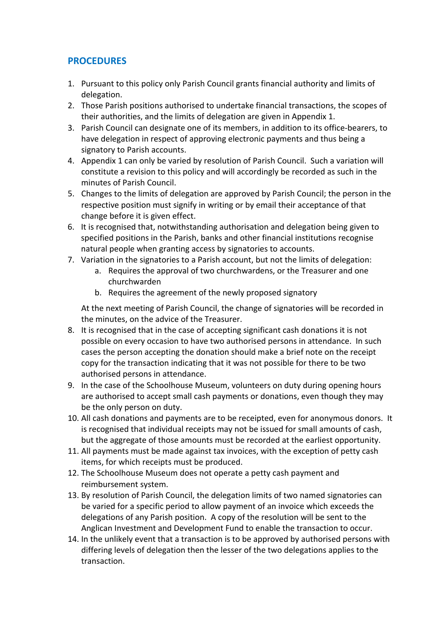## **PROCEDURES**

- 1. Pursuant to this policy only Parish Council grants financial authority and limits of delegation.
- 2. Those Parish positions authorised to undertake financial transactions, the scopes of their authorities, and the limits of delegation are given in Appendix 1.
- 3. Parish Council can designate one of its members, in addition to its office-bearers, to have delegation in respect of approving electronic payments and thus being a signatory to Parish accounts.
- 4. Appendix 1 can only be varied by resolution of Parish Council. Such a variation will constitute a revision to this policy and will accordingly be recorded as such in the minutes of Parish Council.
- 5. Changes to the limits of delegation are approved by Parish Council; the person in the respective position must signify in writing or by email their acceptance of that change before it is given effect.
- 6. It is recognised that, notwithstanding authorisation and delegation being given to specified positions in the Parish, banks and other financial institutions recognise natural people when granting access by signatories to accounts.
- 7. Variation in the signatories to a Parish account, but not the limits of delegation:
	- a. Requires the approval of two churchwardens, or the Treasurer and one churchwarden
	- b. Requires the agreement of the newly proposed signatory

At the next meeting of Parish Council, the change of signatories will be recorded in the minutes, on the advice of the Treasurer.

- 8. It is recognised that in the case of accepting significant cash donations it is not possible on every occasion to have two authorised persons in attendance. In such cases the person accepting the donation should make a brief note on the receipt copy for the transaction indicating that it was not possible for there to be two authorised persons in attendance.
- 9. In the case of the Schoolhouse Museum, volunteers on duty during opening hours are authorised to accept small cash payments or donations, even though they may be the only person on duty.
- 10. All cash donations and payments are to be receipted, even for anonymous donors. It is recognised that individual receipts may not be issued for small amounts of cash, but the aggregate of those amounts must be recorded at the earliest opportunity.
- 11. All payments must be made against tax invoices, with the exception of petty cash items, for which receipts must be produced.
- 12. The Schoolhouse Museum does not operate a petty cash payment and reimbursement system.
- 13. By resolution of Parish Council, the delegation limits of two named signatories can be varied for a specific period to allow payment of an invoice which exceeds the delegations of any Parish position. A copy of the resolution will be sent to the Anglican Investment and Development Fund to enable the transaction to occur.
- 14. In the unlikely event that a transaction is to be approved by authorised persons with differing levels of delegation then the lesser of the two delegations applies to the transaction.